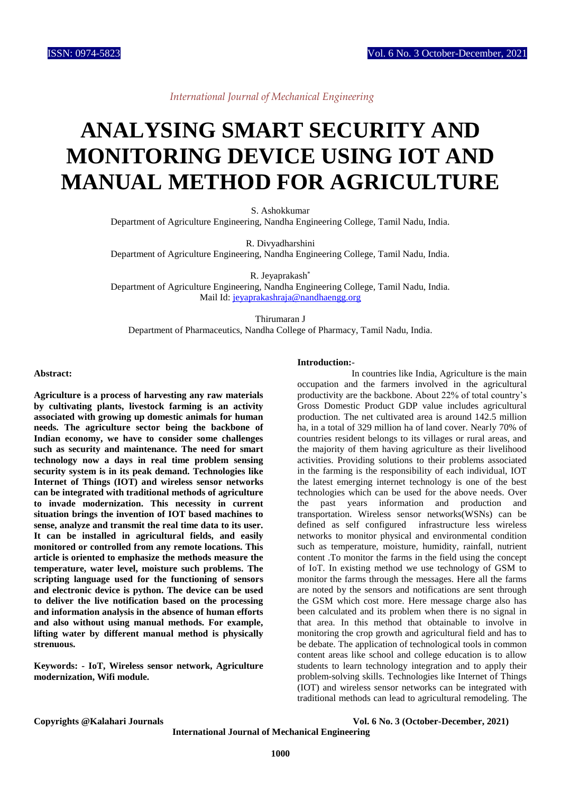*International Journal of Mechanical Engineering*

# **ANALYSING SMART SECURITY AND MONITORING DEVICE USING IOT AND MANUAL METHOD FOR AGRICULTURE**

S. Ashokkumar

Department of Agriculture Engineering, Nandha Engineering College, Tamil Nadu, India.

R. Divyadharshini

Department of Agriculture Engineering, Nandha Engineering College, Tamil Nadu, India.

R. Jeyaprakash\*

Department of Agriculture Engineering, Nandha Engineering College, Tamil Nadu, India. Mail Id: [jeyaprakashraja@nandhaengg.org](mailto:jeyaprakashraja@nandhaengg.org)

Thirumaran J

Department of Pharmaceutics, Nandha College of Pharmacy, Tamil Nadu, India.

#### **Abstract:**

**Agriculture is a process of harvesting any raw materials by cultivating plants, livestock farming is an activity associated with growing up domestic animals for human needs. The agriculture sector being the backbone of Indian economy, we have to consider some challenges such as security and maintenance. The need for smart technology now a days in real time problem sensing security system is in its peak demand. Technologies like Internet of Things (IOT) and wireless sensor networks can be integrated with traditional methods of agriculture to invade modernization. This necessity in current situation brings the invention of IOT based machines to sense, analyze and transmit the real time data to its user. It can be installed in agricultural fields, and easily monitored or controlled from any remote locations. This article is oriented to emphasize the methods measure the temperature, water level, moisture such problems. The scripting language used for the functioning of sensors and electronic device is python. The device can be used to deliver the live notification based on the processing and information analysis in the absence of human efforts and also without using manual methods. For example, lifting water by different manual method is physically strenuous.**

**Keywords: - IoT, Wireless sensor network, Agriculture modernization, Wifi module.**

#### **Introduction:**-

 In countries like India, Agriculture is the main occupation and the farmers involved in the agricultural productivity are the backbone. About 22% of total country's Gross Domestic Product GDP value includes agricultural production. The net cultivated area is around 142.5 million ha, in a total of 329 million ha of land cover. Nearly 70% of countries resident belongs to its villages or rural areas, and the majority of them having agriculture as their livelihood activities. Providing solutions to their problems associated in the farming is the responsibility of each individual, IOT the latest emerging internet technology is one of the best technologies which can be used for the above needs. Over the past years information and production and transportation. Wireless sensor networks(WSNs) can be defined as self configured infrastructure less wireless networks to monitor physical and environmental condition such as temperature, moisture, humidity, rainfall, nutrient content .To monitor the farms in the field using the concept of IoT. In existing method we use technology of GSM to monitor the farms through the messages. Here all the farms are noted by the sensors and notifications are sent through the GSM which cost more. Here message charge also has been calculated and its problem when there is no signal in that area. In this method that obtainable to involve in monitoring the crop growth and agricultural field and has to be debate. The application of technological tools in common content areas like school and college education is to allow students to learn technology integration and to apply their problem-solving skills. Technologies like Internet of Things (IOT) and wireless sensor networks can be integrated with traditional methods can lead to agricultural remodeling. The

**Copyrights @Kalahari Journals Vol. 6 No. 3 (October-December, 2021)**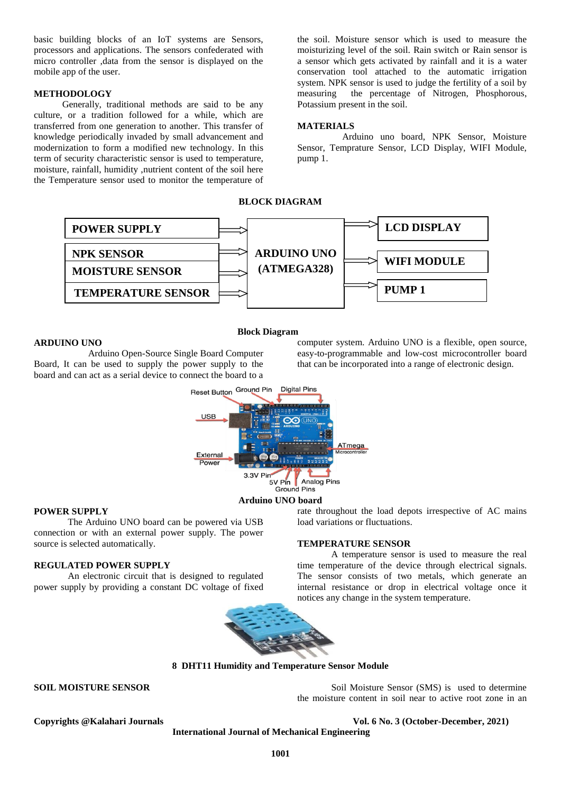basic building blocks of an IoT systems are Sensors, processors and applications. The sensors confederated with micro controller ,data from the sensor is displayed on the mobile app of the user.

# **METHODOLOGY**

 Generally, traditional methods are said to be any culture, or a tradition followed for a while, which are transferred from one generation to another. This transfer of knowledge periodically invaded by small advancement and modernization to form a modified new technology. In this term of security characteristic sensor is used to temperature, moisture, rainfall, humidity ,nutrient content of the soil here the Temperature sensor used to monitor the temperature of

the soil. Moisture sensor which is used to measure the moisturizing level of the soil. Rain switch or Rain sensor is a sensor which gets activated by rainfall and it is a water conservation tool attached to the automatic irrigation system. NPK sensor is used to judge the fertility of a soil by measuring the percentage of Nitrogen, Phosphorous, Potassium present in the soil.

## **MATERIALS**

Arduino uno board, NPK Sensor, Moisture Sensor, Temprature Sensor, LCD Display, WIFI Module, pump 1.

# **BLOCK DIAGRAM**



**Block Diagram**

#### **ARDUINO UNO**

 Arduino Open-Source Single Board Computer Board, It can be used to supply the power supply to the board and can act as a serial device to connect the board to a

computer system. Arduino UNO is a flexible, open source, easy-to-programmable and low-cost microcontroller board that can be incorporated into a range of electronic design.



### **Arduino UNO board**

# **POWER SUPPLY**

The Arduino UNO board can be powered via USB connection or with an external power supply. The power source is selected automatically.

# **REGULATED POWER SUPPLY**

An electronic circuit that is designed to regulated power supply by providing a constant DC voltage of fixed

rate throughout the load depots irrespective of AC mains load variations or fluctuations.

### **TEMPERATURE SENSOR**

A temperature sensor is used to measure the real time temperature of the device through electrical signals. The sensor consists of two metals, which generate an internal resistance or drop in electrical voltage once it notices any change in the system temperature.



**8 DHT11 Humidity and Temperature Sensor Module**

**SOIL MOISTURE SENSOR** Soil Moisture Sensor (SMS) is used to determine the moisture content in soil near to active root zone in an

**Copyrights @Kalahari Journals Vol. 6 No. 3 (October-December, 2021)**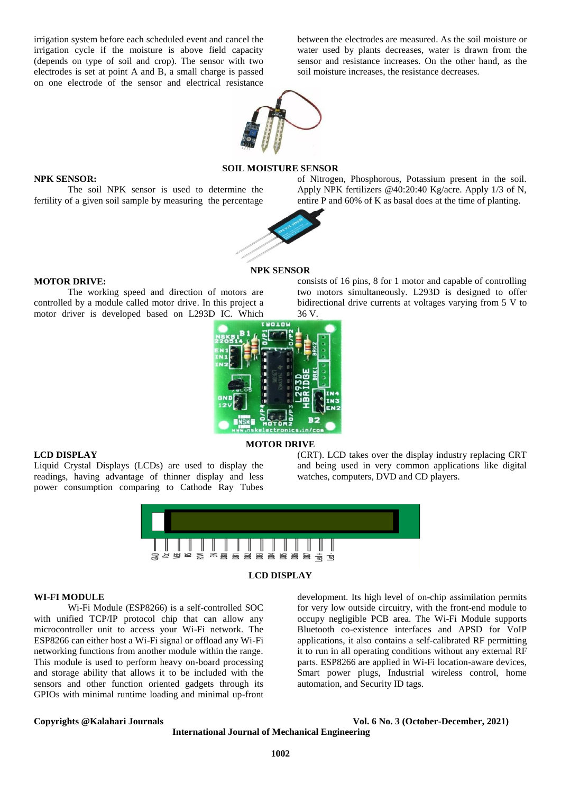irrigation system before each scheduled event and cancel the irrigation cycle if the moisture is above field capacity (depends on type of soil and crop). The sensor with two electrodes is set at point A and B, a small charge is passed on one electrode of the sensor and electrical resistance

between the electrodes are measured. As the soil moisture or water used by plants decreases, water is drawn from the sensor and resistance increases. On the other hand, as the soil moisture increases, the resistance decreases.



**SOIL MOISTURE SENSOR**

## **NPK SENSOR:**

The soil NPK sensor is used to determine the fertility of a given soil sample by measuring the percentage

of Nitrogen, Phosphorous, Potassium present in the soil. Apply NPK fertilizers @40:20:40 Kg/acre. Apply 1/3 of N, entire P and 60% of K as basal does at the time of planting.



#### **MOTOR DRIVE:**

The working speed and direction of motors are controlled by a module called motor drive. In this project a motor driver is developed based on L293D IC. Which





**MOTOR DRIVE**

#### **LCD DISPLAY**

Liquid Crystal Displays (LCDs) are used to display the readings, having advantage of thinner display and less power consumption comparing to Cathode Ray Tubes

(CRT). LCD takes over the display industry replacing CRT and being used in very common applications like digital watches, computers, DVD and CD players.



### **LCD DISPLAY**

# **WI**-**FI MODULE**

Wi-Fi Module (ESP8266) is a self-controlled SOC with unified TCP/IP protocol chip that can allow any microcontroller unit to access your Wi-Fi network. The ESP8266 can either host a Wi-Fi signal or offload any Wi-Fi networking functions from another module within the range. This module is used to perform heavy on-board processing and storage ability that allows it to be included with the sensors and other function oriented gadgets through its GPIOs with minimal runtime loading and minimal up-front development. Its high level of on-chip assimilation permits for very low outside circuitry, with the front-end module to occupy negligible PCB area. The Wi-Fi Module supports Bluetooth co-existence interfaces and APSD for VoIP applications, it also contains a self-calibrated RF permitting it to run in all operating conditions without any external RF parts. ESP8266 are applied in Wi-Fi location-aware devices, Smart power plugs, Industrial wireless control, home automation, and Security ID tags.

#### **Copyrights @Kalahari Journals Vol. 6 No. 3 (October-December, 2021)**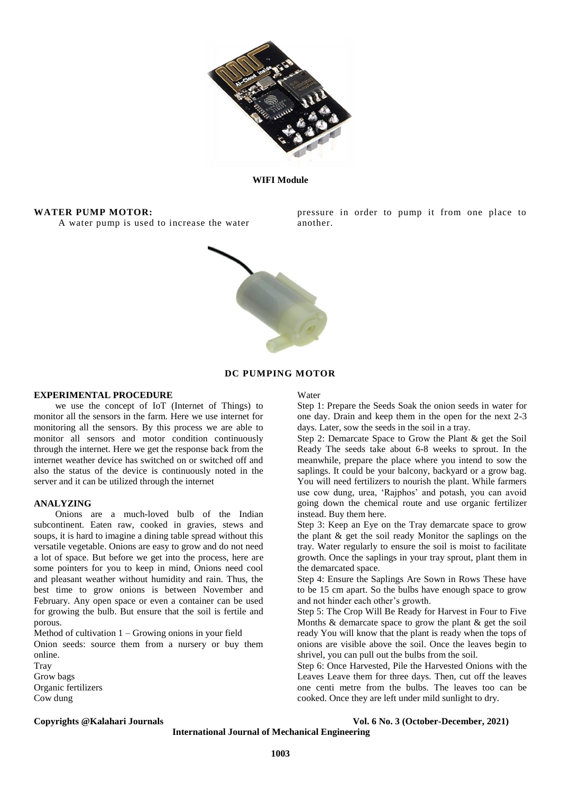

## **WIFI Module**

#### **WATER PUMP MOTOR:**

A water pump is used to increase the water

pressure in order to pump it from one place to another.



#### **DC PUMPING MOTOR**

#### **EXPERIMENTAL PROCEDURE**

 we use the concept of IoT (Internet of Things) to monitor all the sensors in the farm. Here we use internet for monitoring all the sensors. By this process we are able to monitor all sensors and motor condition continuously through the internet. Here we get the response back from the internet weather device has switched on or switched off and also the status of the device is continuously noted in the server and it can be utilized through the internet

# **ANALYZING**

 Onions are a much-loved bulb of the Indian subcontinent. Eaten raw, cooked in gravies, stews and soups, it is hard to imagine a dining table spread without this versatile vegetable. Onions are easy to grow and do not need a lot of space. But before we get into the process, here are some pointers for you to keep in mind, Onions need cool and pleasant weather without humidity and rain. Thus, the best time to grow onions is between November and February. Any open space or even a container can be used for growing the bulb. But ensure that the soil is fertile and porous.

Method of cultivation  $1 -$  Growing onions in your field Onion seeds: source them from a nursery or buy them online.

**Tray** Grow bags Organic fertilizers Cow dung

#### **Water**

Step 1: Prepare the Seeds Soak the onion seeds in water for one day. Drain and keep them in the open for the next 2-3 days. Later, sow the seeds in the soil in a tray.

Step 2: Demarcate Space to Grow the Plant & get the Soil Ready The seeds take about 6-8 weeks to sprout. In the meanwhile, prepare the place where you intend to sow the saplings. It could be your balcony, backyard or a grow bag. You will need fertilizers to nourish the plant. While farmers use cow dung, urea, 'Rajphos' and potash, you can avoid going down the chemical route and use organic fertilizer instead. Buy them here.

Step 3: Keep an Eye on the Tray demarcate space to grow the plant & get the soil ready Monitor the saplings on the tray. Water regularly to ensure the soil is moist to facilitate growth. Once the saplings in your tray sprout, plant them in the demarcated space.

Step 4: Ensure the Saplings Are Sown in Rows These have to be 15 cm apart. So the bulbs have enough space to grow and not hinder each other's growth.

Step 5: The Crop Will Be Ready for Harvest in Four to Five Months & demarcate space to grow the plant & get the soil ready You will know that the plant is ready when the tops of onions are visible above the soil. Once the leaves begin to shrivel, you can pull out the bulbs from the soil.

Step 6: Once Harvested, Pile the Harvested Onions with the Leaves Leave them for three days. Then, cut off the leaves one centi metre from the bulbs. The leaves too can be cooked. Once they are left under mild sunlight to dry.

**Copyrights @Kalahari Journals Vol. 6 No. 3 (October-December, 2021)**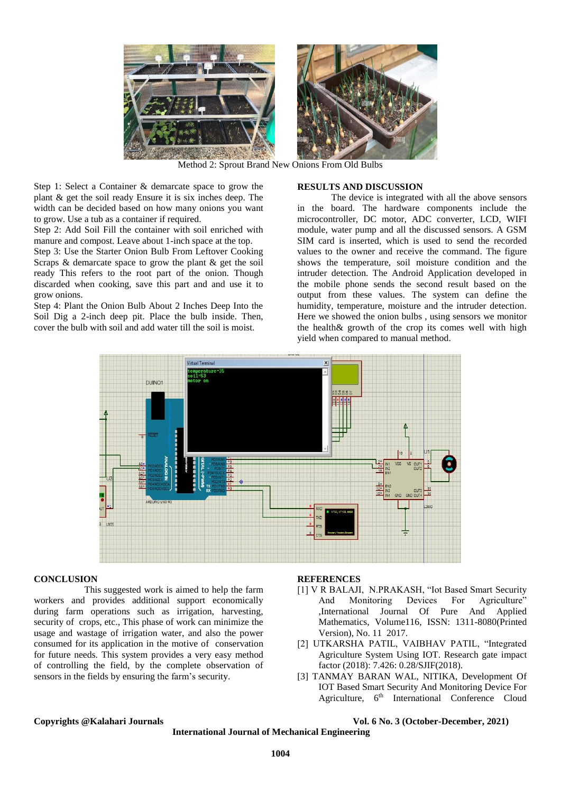

Method 2: Sprout Brand New Onions From Old Bulbs

Step 1: Select a Container & demarcate space to grow the plant & get the soil ready Ensure it is six inches deep. The width can be decided based on how many onions you want to grow. Use a tub as a container if required.

Step 2: Add Soil Fill the container with soil enriched with manure and compost. Leave about 1-inch space at the top.

Step 3: Use the Starter Onion Bulb From Leftover Cooking Scraps & demarcate space to grow the plant & get the soil ready This refers to the root part of the onion. Though discarded when cooking, save this part and and use it to grow onions.

Step 4: Plant the Onion Bulb About 2 Inches Deep Into the Soil Dig a 2-inch deep pit. Place the bulb inside. Then, cover the bulb with soil and add water till the soil is moist.

#### **RESULTS AND DISCUSSION**

The device is integrated with all the above sensors in the board. The hardware components include the microcontroller, DC motor, ADC converter, LCD, WIFI module, water pump and all the discussed sensors. A GSM SIM card is inserted, which is used to send the recorded values to the owner and receive the command. The figure shows the temperature, soil moisture condition and the intruder detection. The Android Application developed in the mobile phone sends the second result based on the output from these values. The system can define the humidity, temperature, moisture and the intruder detection. Here we showed the onion bulbs , using sensors we monitor the health& growth of the crop its comes well with high yield when compared to manual method.



#### **CONCLUSION**

This suggested work is aimed to help the farm workers and provides additional support economically during farm operations such as irrigation, harvesting, security of crops, etc., This phase of work can minimize the usage and wastage of irrigation water, and also the power consumed for its application in the motive of conservation for future needs. This system provides a very easy method of controlling the field, by the complete observation of sensors in the fields by ensuring the farm's security.

#### **REFERENCES**

- [1] V R BALAJI, N.PRAKASH, "Iot Based Smart Security And Monitoring Devices For Agriculture" ,International Journal Of Pure And Applied Mathematics, Volume116, ISSN: 1311-8080(Printed Version), No. 11 2017.
- [2] UTKARSHA PATIL, VAIBHAV PATIL, "Integrated Agriculture System Using IOT. Research gate impact factor (2018): 7.426: 0.28/SJIF(2018).
- [3] TANMAY BARAN WAL, NITIKA, Development Of IOT Based Smart Security And Monitoring Device For Agriculture,  $6<sup>th</sup>$  International Conference Cloud

**Copyrights @Kalahari Journals Vol. 6 No. 3 (October-December, 2021)**